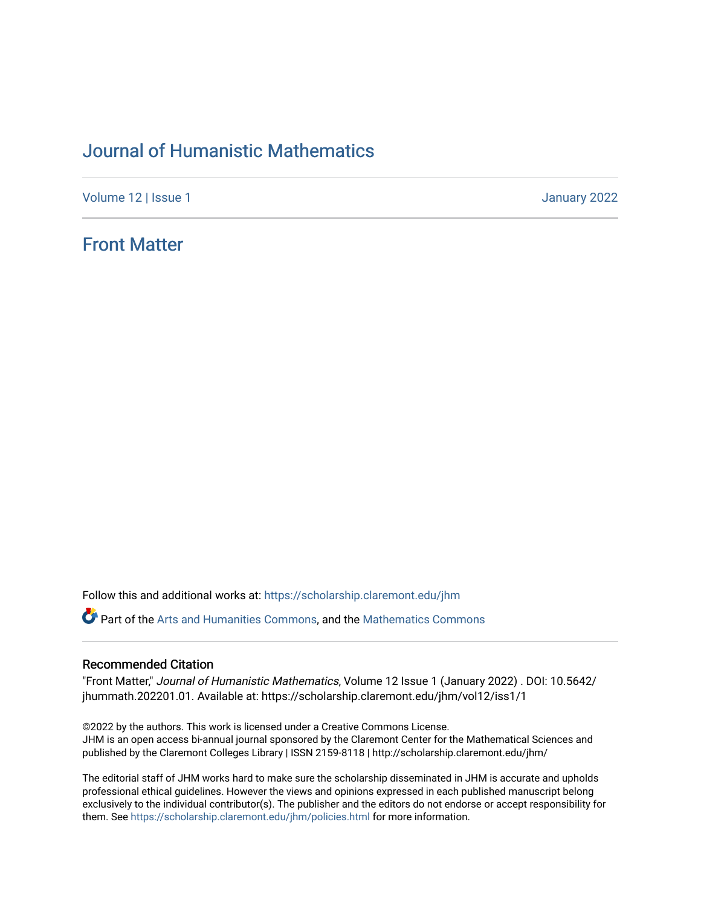## [Journal of Humanistic Mathematics](https://scholarship.claremont.edu/jhm)

[Volume 12](https://scholarship.claremont.edu/jhm/vol12) | Issue 1 January 2022

### [Front Matter](https://scholarship.claremont.edu/jhm/vol12/iss1/1)

Follow this and additional works at: [https://scholarship.claremont.edu/jhm](https://scholarship.claremont.edu/jhm?utm_source=scholarship.claremont.edu%2Fjhm%2Fvol12%2Fiss1%2F1&utm_medium=PDF&utm_campaign=PDFCoverPages)

**Part of the [Arts and Humanities Commons,](http://network.bepress.com/hgg/discipline/438?utm_source=scholarship.claremont.edu%2Fjhm%2Fvol12%2Fiss1%2F1&utm_medium=PDF&utm_campaign=PDFCoverPages) and the Mathematics Commons** 

### Recommended Citation

"Front Matter," Journal of Humanistic Mathematics, Volume 12 Issue 1 (January 2022) . DOI: 10.5642/ jhummath.202201.01. Available at: https://scholarship.claremont.edu/jhm/vol12/iss1/1

©2022 by the authors. This work is licensed under a Creative Commons License. JHM is an open access bi-annual journal sponsored by the Claremont Center for the Mathematical Sciences and published by the Claremont Colleges Library | ISSN 2159-8118 | http://scholarship.claremont.edu/jhm/

The editorial staff of JHM works hard to make sure the scholarship disseminated in JHM is accurate and upholds professional ethical guidelines. However the views and opinions expressed in each published manuscript belong exclusively to the individual contributor(s). The publisher and the editors do not endorse or accept responsibility for them. See<https://scholarship.claremont.edu/jhm/policies.html> for more information.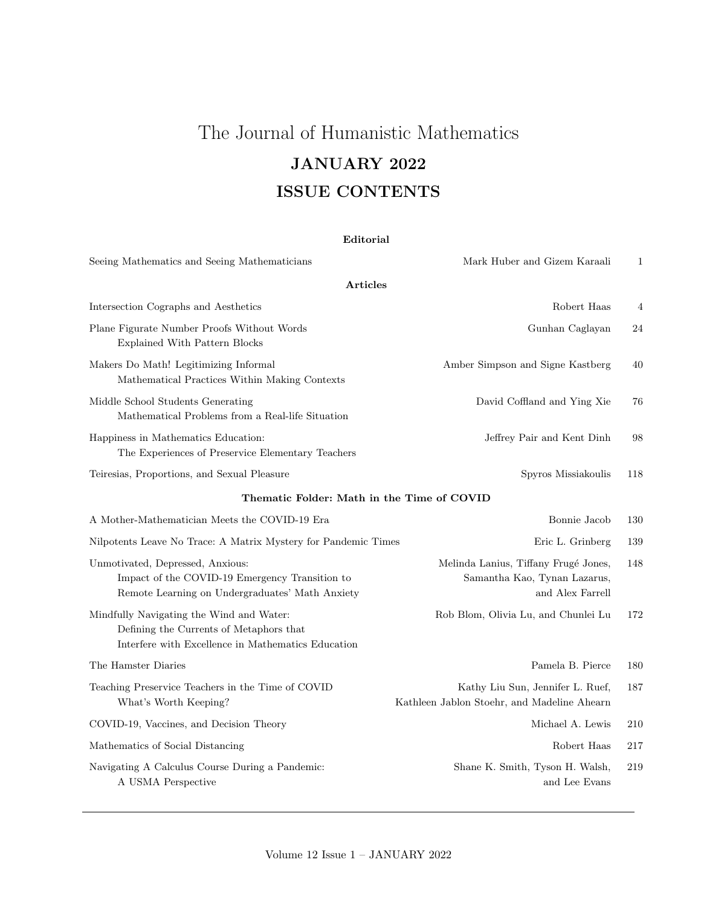# The Journal of Humanistic Mathematics JANUARY 2022 ISSUE CONTENTS

| Editorial |  |
|-----------|--|
|-----------|--|

| Seeing Mathematics and Seeing Mathematicians                                                                                              | Mark Huber and Gizem Karaali                                                             | 1   |  |  |  |
|-------------------------------------------------------------------------------------------------------------------------------------------|------------------------------------------------------------------------------------------|-----|--|--|--|
| <b>Articles</b>                                                                                                                           |                                                                                          |     |  |  |  |
| Intersection Cographs and Aesthetics                                                                                                      | Robert Haas                                                                              | 4   |  |  |  |
| Plane Figurate Number Proofs Without Words<br><b>Explained With Pattern Blocks</b>                                                        | Gunhan Caglayan                                                                          | 24  |  |  |  |
| Makers Do Math! Legitimizing Informal<br>Mathematical Practices Within Making Contexts                                                    | Amber Simpson and Signe Kastberg                                                         | 40  |  |  |  |
| Middle School Students Generating<br>Mathematical Problems from a Real-life Situation                                                     | David Coffland and Ying Xie                                                              | 76  |  |  |  |
| Happiness in Mathematics Education:<br>The Experiences of Preservice Elementary Teachers                                                  | Jeffrey Pair and Kent Dinh                                                               | 98  |  |  |  |
| Teiresias, Proportions, and Sexual Pleasure                                                                                               | Spyros Missiakoulis                                                                      | 118 |  |  |  |
| Thematic Folder: Math in the Time of COVID                                                                                                |                                                                                          |     |  |  |  |
| A Mother-Mathematician Meets the COVID-19 Era                                                                                             | Bonnie Jacob                                                                             | 130 |  |  |  |
| Nilpotents Leave No Trace: A Matrix Mystery for Pandemic Times                                                                            | Eric L. Grinberg                                                                         | 139 |  |  |  |
| Unmotivated, Depressed, Anxious:<br>Impact of the COVID-19 Emergency Transition to<br>Remote Learning on Undergraduates' Math Anxiety     | Melinda Lanius, Tiffany Frugé Jones,<br>Samantha Kao, Tynan Lazarus,<br>and Alex Farrell | 148 |  |  |  |
| Mindfully Navigating the Wind and Water:<br>Defining the Currents of Metaphors that<br>Interfere with Excellence in Mathematics Education | Rob Blom, Olivia Lu, and Chunlei Lu                                                      | 172 |  |  |  |
| The Hamster Diaries                                                                                                                       | Pamela B. Pierce                                                                         | 180 |  |  |  |
| Teaching Preservice Teachers in the Time of COVID<br>What's Worth Keeping?                                                                | Kathy Liu Sun, Jennifer L. Ruef,<br>Kathleen Jablon Stoehr, and Madeline Ahearn          | 187 |  |  |  |
| COVID-19, Vaccines, and Decision Theory                                                                                                   | Michael A. Lewis                                                                         | 210 |  |  |  |
| Mathematics of Social Distancing                                                                                                          | Robert Haas                                                                              | 217 |  |  |  |
| Navigating A Calculus Course During a Pandemic:<br>A USMA Perspective                                                                     | Shane K. Smith, Tyson H. Walsh,<br>and Lee Evans                                         | 219 |  |  |  |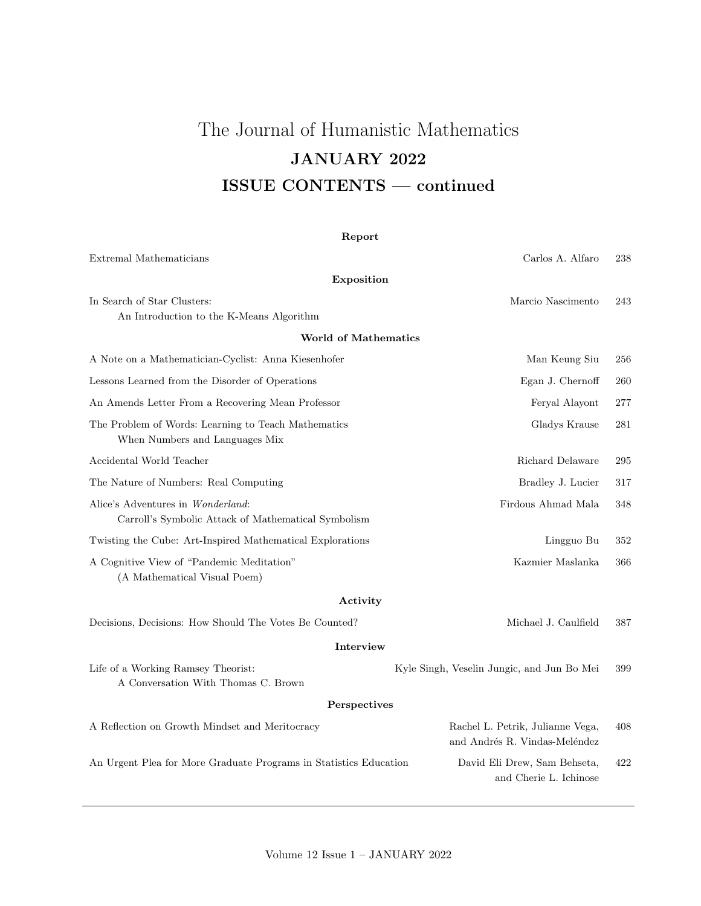# The Journal of Humanistic Mathematics JANUARY 2022 ISSUE CONTENTS — continued

### Report

| Extremal Mathematicians                                                                  | Carlos A. Alfaro                                                  | 238 |
|------------------------------------------------------------------------------------------|-------------------------------------------------------------------|-----|
| Exposition                                                                               |                                                                   |     |
| In Search of Star Clusters:<br>An Introduction to the K-Means Algorithm                  | Marcio Nascimento                                                 | 243 |
| <b>World of Mathematics</b>                                                              |                                                                   |     |
| A Note on a Mathematician-Cyclist: Anna Kiesenhofer                                      | Man Keung Siu                                                     | 256 |
| Lessons Learned from the Disorder of Operations                                          | Egan J. Chernoff                                                  | 260 |
| An Amends Letter From a Recovering Mean Professor                                        | Feryal Alayont                                                    | 277 |
| The Problem of Words: Learning to Teach Mathematics<br>When Numbers and Languages Mix    | Gladys Krause                                                     | 281 |
| Accidental World Teacher                                                                 | Richard Delaware                                                  | 295 |
| The Nature of Numbers: Real Computing                                                    | Bradley J. Lucier                                                 | 317 |
| Alice's Adventures in Wonderland:<br>Carroll's Symbolic Attack of Mathematical Symbolism | Firdous Ahmad Mala                                                | 348 |
| Twisting the Cube: Art-Inspired Mathematical Explorations                                | Lingguo Bu                                                        | 352 |
| A Cognitive View of "Pandemic Meditation"<br>(A Mathematical Visual Poem)                | Kazmier Maslanka                                                  | 366 |
| Activity                                                                                 |                                                                   |     |
| Decisions, Decisions: How Should The Votes Be Counted?                                   | Michael J. Caulfield                                              | 387 |
| Interview                                                                                |                                                                   |     |
| Life of a Working Ramsey Theorist:<br>A Conversation With Thomas C. Brown                | Kyle Singh, Veselin Jungic, and Jun Bo Mei                        | 399 |
| Perspectives                                                                             |                                                                   |     |
| A Reflection on Growth Mindset and Meritocracy                                           | Rachel L. Petrik, Julianne Vega,<br>and Andrés R. Vindas-Meléndez | 408 |
| An Urgent Plea for More Graduate Programs in Statistics Education                        | David Eli Drew, Sam Behseta,<br>and Cherie L. Ichinose            | 422 |
|                                                                                          |                                                                   |     |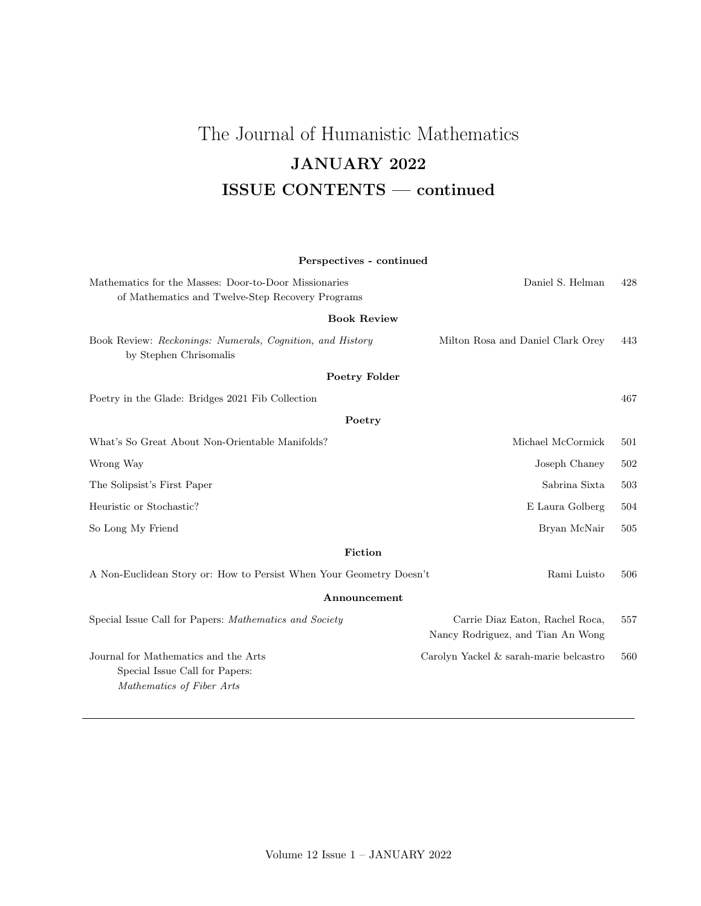## The Journal of Humanistic Mathematics JANUARY 2022 ISSUE CONTENTS — continued

## Perspectives - continued Mathematics for the Masses: Door-to-Door Missionaries Daniel S. Helman 428 of Mathematics and Twelve-Step Recovery Programs Book Review Book Review: Reckonings: Numerals, Cognition, and History Milton Rosa and Daniel Clark Orey 443 by Stephen Chrisomalis Poetry Folder Poetry in the Glade: Bridges 2021 Fib Collection 467 Poetry What's So Great About Non-Orientable Manifolds? Michael McCormick 501 Wrong Way Joseph Chaney 502 The Solipsist's First Paper Sabrina Sixta 503 Heuristic or Stochastic? E Laura Golberg 504 So Long My Friend Bryan McNair 505 Fiction A Non-Euclidean Story or: How to Persist When Your Geometry Doesn't Rami Luisto 506 Announcement Special Issue Call for Papers: *Mathematics and Society* Carrie Diaz Eaton, Rachel Roca, 557

Nancy Rodriguez, and Tian An Wong Journal for Mathematics and the Arts Carolyn Yackel & sarah-marie belcastro 560 Special Issue Call for Papers: Mathematics of Fiber Arts